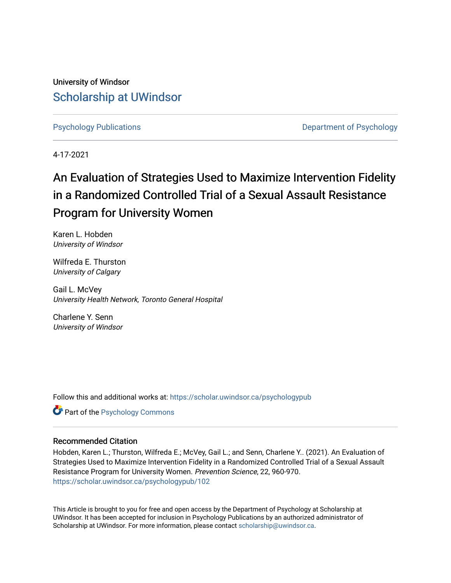University of Windsor [Scholarship at UWindsor](https://scholar.uwindsor.ca/) 

[Psychology Publications](https://scholar.uwindsor.ca/psychologypub) **Department of Psychology** 

4-17-2021

# An Evaluation of Strategies Used to Maximize Intervention Fidelity in a Randomized Controlled Trial of a Sexual Assault Resistance Program for University Women

Karen L. Hobden University of Windsor

Wilfreda E. Thurston University of Calgary

Gail L. McVey University Health Network, Toronto General Hospital

Charlene Y. Senn University of Windsor

Follow this and additional works at: [https://scholar.uwindsor.ca/psychologypub](https://scholar.uwindsor.ca/psychologypub?utm_source=scholar.uwindsor.ca%2Fpsychologypub%2F102&utm_medium=PDF&utm_campaign=PDFCoverPages) 

Part of the [Psychology Commons](http://network.bepress.com/hgg/discipline/404?utm_source=scholar.uwindsor.ca%2Fpsychologypub%2F102&utm_medium=PDF&utm_campaign=PDFCoverPages) 

## Recommended Citation

Hobden, Karen L.; Thurston, Wilfreda E.; McVey, Gail L.; and Senn, Charlene Y.. (2021). An Evaluation of Strategies Used to Maximize Intervention Fidelity in a Randomized Controlled Trial of a Sexual Assault Resistance Program for University Women. Prevention Science, 22, 960-970. [https://scholar.uwindsor.ca/psychologypub/102](https://scholar.uwindsor.ca/psychologypub/102?utm_source=scholar.uwindsor.ca%2Fpsychologypub%2F102&utm_medium=PDF&utm_campaign=PDFCoverPages) 

This Article is brought to you for free and open access by the Department of Psychology at Scholarship at UWindsor. It has been accepted for inclusion in Psychology Publications by an authorized administrator of Scholarship at UWindsor. For more information, please contact [scholarship@uwindsor.ca.](mailto:scholarship@uwindsor.ca)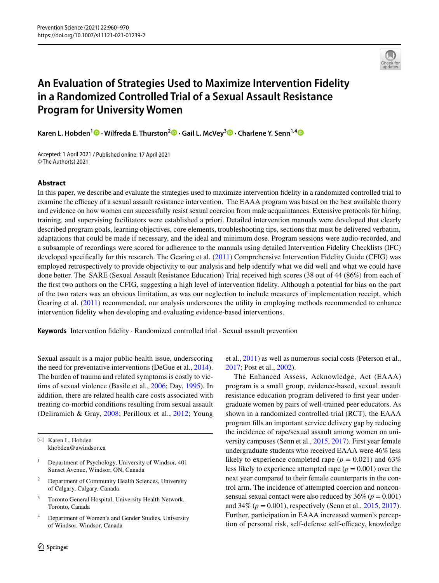

## **An Evaluation of Strategies Used to Maximize Intervention Fidelity in a Randomized Controlled Trial of a Sexual Assault Resistance Program for University Women**

**KarenL. Hobden<sup>1</sup> <sup><b>D**</sup> · Wilfreda E. Thurston<sup>2</sup> **D** · Gail L. McVey<sup>3</sup> **D** · Charlene Y. Senn<sup>1,[4](http://orcid.org/0000-0002-3463-5704)</sup> **D** 

Accepted: 1 April 2021 / Published online: 17 April 2021 © The Author(s) 2021

## **Abstract**

In this paper, we describe and evaluate the strategies used to maximize intervention fdelity in a randomized controlled trial to examine the efficacy of a sexual assault resistance intervention. The EAAA program was based on the best available theory and evidence on how women can successfully resist sexual coercion from male acquaintances. Extensive protocols for hiring, training, and supervising facilitators were established a priori. Detailed intervention manuals were developed that clearly described program goals, learning objectives, core elements, troubleshooting tips, sections that must be delivered verbatim, adaptations that could be made if necessary, and the ideal and minimum dose. Program sessions were audio-recorded, and a subsample of recordings were scored for adherence to the manuals using detailed Intervention Fidelity Checklists (IFC) developed specifically for this research. The Gearing et al. ([2011](#page-11-0)) Comprehensive Intervention Fidelity Guide (CFIG) was employed retrospectively to provide objectivity to our analysis and help identify what we did well and what we could have done better. The SARE (Sexual Assault Resistance Education) Trial received high scores (38 out of 44 (86%) from each of the frst two authors on the CFIG, suggesting a high level of intervention fdelity. Although a potential for bias on the part of the two raters was an obvious limitation, as was our neglection to include measures of implementation receipt, which Gearing et al. ([2011](#page-11-0)) recommended, our analysis underscores the utility in employing methods recommended to enhance intervention fdelity when developing and evaluating evidence-based interventions.

**Keywords** Intervention fdelity · Randomized controlled trial · Sexual assault prevention

Sexual assault is a major public health issue, underscoring the need for preventative interventions (DeGue et al., [2014](#page-10-0)). The burden of trauma and related symptoms is costly to victims of sexual violence (Basile et al., [2006;](#page-10-1) Day, [1995](#page-10-2)). In addition, there are related health care costs associated with treating co-morbid conditions resulting from sexual assault (Deliramich & Gray, [2008](#page-10-3); Perilloux et al., [2012;](#page-11-1) Young

 $\boxtimes$  Karen L. Hobden khobden@uwindsor.ca

- <sup>1</sup> Department of Psychology, University of Windsor, 401 Sunset Avenue, Windsor, ON, Canada
- <sup>2</sup> Department of Community Health Sciences, University of Calgary, Calgary, Canada
- <sup>3</sup> Toronto General Hospital, University Health Network, Toronto, Canada
- <sup>4</sup> Department of Women's and Gender Studies, University of Windsor, Windsor, Canada

et al., [2011\)](#page-11-2) as well as numerous social costs (Peterson et al., [2017](#page-11-3); Post et al., [2002\)](#page-11-4).

The Enhanced Assess, Acknowledge, Act (EAAA) program is a small group, evidence-based, sexual assault resistance education program delivered to frst year undergraduate women by pairs of well-trained peer educators. As shown in a randomized controlled trial (RCT), the EAAA program flls an important service delivery gap by reducing the incidence of rape/sexual assault among women on university campuses (Senn et al., [2015](#page-11-5), [2017\)](#page-11-6). First year female undergraduate students who received EAAA were 46% less likely to experience completed rape  $(p = 0.021)$  and 63% less likely to experience attempted rape  $(p = 0.001)$  over the next year compared to their female counterparts in the control arm. The incidence of attempted coercion and nonconsensual sexual contact were also reduced by  $36\%$  ( $p = 0.001$ ) and 34% (*p* = 0.001), respectively (Senn et al., [2015,](#page-11-5) [2017](#page-11-6)). Further, participation in EAAA increased women's perception of personal risk, self-defense self-efficacy, knowledge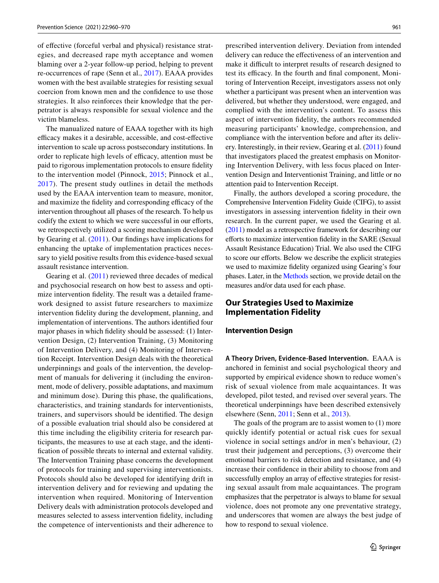of efective (forceful verbal and physical) resistance strategies, and decreased rape myth acceptance and women blaming over a 2-year follow-up period, helping to prevent re-occurrences of rape (Senn et al., [2017\)](#page-11-6). EAAA provides women with the best available strategies for resisting sexual coercion from known men and the confdence to use those strategies. It also reinforces their knowledge that the perpetrator is always responsible for sexual violence and the victim blameless.

The manualized nature of EAAA together with its high efficacy makes it a desirable, accessible, and cost-effective intervention to scale up across postsecondary institutions. In order to replicate high levels of efficacy, attention must be paid to rigorous implementation protocols to ensure fdelity to the intervention model (Pinnock, [2015](#page-11-7); Pinnock et al., [2017\)](#page-11-8). The present study outlines in detail the methods used by the EAAA intervention team to measure, monitor, and maximize the fidelity and corresponding efficacy of the intervention throughout all phases of the research. To help us codify the extent to which we were successful in our efforts, we retrospectively utilized a scoring mechanism developed by Gearing et al. [\(2011\)](#page-11-0). Our fndings have implications for enhancing the uptake of implementation practices necessary to yield positive results from this evidence-based sexual assault resistance intervention.

Gearing et al. [\(2011\)](#page-11-0) reviewed three decades of medical and psychosocial research on how best to assess and optimize intervention fdelity. The result was a detailed framework designed to assist future researchers to maximize intervention fdelity during the development, planning, and implementation of interventions. The authors identifed four major phases in which fdelity should be assessed: (1) Intervention Design, (2) Intervention Training, (3) Monitoring of Intervention Delivery, and (4) Monitoring of Intervention Receipt. Intervention Design deals with the theoretical underpinnings and goals of the intervention, the development of manuals for delivering it (including the environment, mode of delivery, possible adaptations, and maximum and minimum dose). During this phase, the qualifcations, characteristics, and training standards for interventionists, trainers, and supervisors should be identifed. The design of a possible evaluation trial should also be considered at this time including the eligibility criteria for research participants, the measures to use at each stage, and the identifcation of possible threats to internal and external validity. The Intervention Training phase concerns the development of protocols for training and supervising interventionists. Protocols should also be developed for identifying drift in intervention delivery and for reviewing and updating the intervention when required. Monitoring of Intervention Delivery deals with administration protocols developed and measures selected to assess intervention fdelity, including the competence of interventionists and their adherence to

prescribed intervention delivery. Deviation from intended delivery can reduce the efectiveness of an intervention and make it difficult to interpret results of research designed to test its efficacy. In the fourth and final component, Monitoring of Intervention Receipt, investigators assess not only whether a participant was present when an intervention was delivered, but whether they understood, were engaged, and complied with the intervention's content. To assess this aspect of intervention fdelity, the authors recommended measuring participants' knowledge, comprehension, and compliance with the intervention before and after its delivery. Interestingly, in their review, Gearing et al. [\(2011\)](#page-11-0) found that investigators placed the greatest emphasis on Monitoring Intervention Delivery, with less focus placed on Intervention Design and Interventionist Training, and little or no attention paid to Intervention Receipt.

Finally, the authors developed a scoring procedure, the Comprehensive Intervention Fidelity Guide (CIFG), to assist investigators in assessing intervention fdelity in their own research. In the current paper, we used the Gearing et al. [\(2011\)](#page-11-0) model as a retrospective framework for describing our eforts to maximize intervention fdelity in the SARE (Sexual Assault Resistance Education) Trial. We also used the CIFG to score our efforts. Below we describe the explicit strategies we used to maximize fdelity organized using Gearing's four phases. Later, in the [Methods](#page-4-0) section, we provide detail on the measures and/or data used for each phase.

## **Our Strategies Used to Maximize Implementation Fidelity**

## **Intervention Design**

**A Theory Driven, Evidence‑Based Intervention.** EAAA is anchored in feminist and social psychological theory and supported by empirical evidence shown to reduce women's risk of sexual violence from male acquaintances. It was developed, pilot tested, and revised over several years. The theoretical underpinnings have been described extensively elsewhere (Senn, [2011;](#page-11-9) Senn et al., [2013](#page-11-10)).

The goals of the program are to assist women to (1) more quickly identify potential or actual risk cues for sexual violence in social settings and/or in men's behaviour, (2) trust their judgement and perceptions, (3) overcome their emotional barriers to risk detection and resistance, and (4) increase their confdence in their ability to choose from and successfully employ an array of efective strategies for resisting sexual assault from male acquaintances. The program emphasizes that the perpetrator is always to blame for sexual violence, does not promote any one preventative strategy, and underscores that women are always the best judge of how to respond to sexual violence.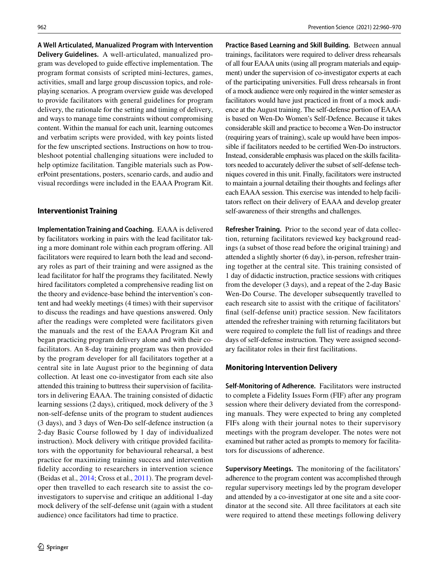**A Well Articulated, Manualized Program with Intervention Delivery Guidelines.** A well-articulated, manualized program was developed to guide efective implementation. The program format consists of scripted mini-lectures, games, activities, small and large group discussion topics, and roleplaying scenarios. A program overview guide was developed to provide facilitators with general guidelines for program delivery, the rationale for the setting and timing of delivery, and ways to manage time constraints without compromising content. Within the manual for each unit, learning outcomes and verbatim scripts were provided, with key points listed for the few unscripted sections. Instructions on how to troubleshoot potential challenging situations were included to help optimize facilitation. Tangible materials such as PowerPoint presentations, posters, scenario cards, and audio and visual recordings were included in the EAAA Program Kit.

#### **Interventionist Training**

**Implementation Training and Coaching.** EAAA is delivered by facilitators working in pairs with the lead facilitator taking a more dominant role within each program offering. All facilitators were required to learn both the lead and secondary roles as part of their training and were assigned as the lead facilitator for half the programs they facilitated. Newly hired facilitators completed a comprehensive reading list on the theory and evidence-base behind the intervention's content and had weekly meetings (4 times) with their supervisor to discuss the readings and have questions answered. Only after the readings were completed were facilitators given the manuals and the rest of the EAAA Program Kit and began practicing program delivery alone and with their cofacilitators. An 8-day training program was then provided by the program developer for all facilitators together at a central site in late August prior to the beginning of data collection. At least one co-investigator from each site also attended this training to buttress their supervision of facilitators in delivering EAAA. The training consisted of didactic learning sessions (2 days), critiqued, mock delivery of the 3 non-self-defense units of the program to student audiences (3 days), and 3 days of Wen-Do self-defence instruction (a 2-day Basic Course followed by 1 day of individualized instruction). Mock delivery with critique provided facilitators with the opportunity for behavioural rehearsal, a best practice for maximizing training success and intervention fdelity according to researchers in intervention science (Beidas et al., [2014](#page-10-4); Cross et al., [2011](#page-10-5)). The program developer then travelled to each research site to assist the coinvestigators to supervise and critique an additional 1-day mock delivery of the self-defense unit (again with a student audience) once facilitators had time to practice.

**Practice Based Learning and Skill Building.** Between annual trainings, facilitators were required to deliver dress rehearsals of all four EAAA units (using all program materials and equipment) under the supervision of co-investigator experts at each of the participating universities. Full dress rehearsals in front of a mock audience were only required in the winter semester as facilitators would have just practiced in front of a mock audience at the August training. The self-defense portion of EAAA is based on Wen-Do Women's Self-Defence. Because it takes considerable skill and practice to become a Wen-Do instructor (requiring years of training), scale up would have been impossible if facilitators needed to be certifed Wen-Do instructors. Instead, considerable emphasis was placed on the skills facilitators needed to accurately deliver the subset of self-defense techniques covered in this unit. Finally, facilitators were instructed to maintain a journal detailing their thoughts and feelings after each EAAA session. This exercise was intended to help facilitators refect on their delivery of EAAA and develop greater self-awareness of their strengths and challenges.

**Refresher Training.** Prior to the second year of data collection, returning facilitators reviewed key background readings (a subset of those read before the original training) and attended a slightly shorter (6 day), in-person, refresher training together at the central site. This training consisted of 1 day of didactic instruction, practice sessions with critiques from the developer (3 days), and a repeat of the 2-day Basic Wen-Do Course. The developer subsequently travelled to each research site to assist with the critique of facilitators' fnal (self-defense unit) practice session. New facilitators attended the refresher training with returning facilitators but were required to complete the full list of readings and three days of self-defense instruction. They were assigned secondary facilitator roles in their frst facilitations.

## **Monitoring Intervention Delivery**

**Self‑Monitoring of Adherence.** Facilitators were instructed to complete a Fidelity Issues Form (FIF) after any program session where their delivery deviated from the corresponding manuals. They were expected to bring any completed FIFs along with their journal notes to their supervisory meetings with the program developer. The notes were not examined but rather acted as prompts to memory for facilitators for discussions of adherence.

**Supervisory Meetings.** The monitoring of the facilitators' adherence to the program content was accomplished through regular supervisory meetings led by the program developer and attended by a co-investigator at one site and a site coordinator at the second site. All three facilitators at each site were required to attend these meetings following delivery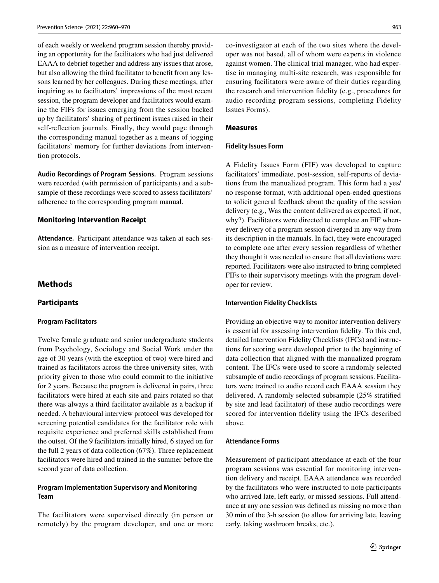of each weekly or weekend program session thereby providing an opportunity for the facilitators who had just delivered EAAA to debrief together and address any issues that arose, but also allowing the third facilitator to beneft from any lessons learned by her colleagues. During these meetings, after inquiring as to facilitators' impressions of the most recent session, the program developer and facilitators would examine the FIFs for issues emerging from the session backed up by facilitators' sharing of pertinent issues raised in their self-refection journals. Finally, they would page through the corresponding manual together as a means of jogging facilitators' memory for further deviations from intervention protocols.

**Audio Recordings of Program Sessions.** Program sessions were recorded (with permission of participants) and a subsample of these recordings were scored to assess facilitators' adherence to the corresponding program manual.

#### **Monitoring Intervention Receipt**

**Attendance.** Participant attendance was taken at each session as a measure of intervention receipt.

## **Methods**

#### <span id="page-4-0"></span>**Participants**

#### **Program Facilitators**

Twelve female graduate and senior undergraduate students from Psychology, Sociology and Social Work under the age of 30 years (with the exception of two) were hired and trained as facilitators across the three university sites, with priority given to those who could commit to the initiative for 2 years. Because the program is delivered in pairs, three facilitators were hired at each site and pairs rotated so that there was always a third facilitator available as a backup if needed. A behavioural interview protocol was developed for screening potential candidates for the facilitator role with requisite experience and preferred skills established from the outset. Of the 9 facilitators initially hired, 6 stayed on for the full 2 years of data collection (67%). Three replacement facilitators were hired and trained in the summer before the second year of data collection.

## **Program Implementation Supervisory and Monitoring Team**

The facilitators were supervised directly (in person or remotely) by the program developer, and one or more co-investigator at each of the two sites where the developer was not based, all of whom were experts in violence against women. The clinical trial manager, who had expertise in managing multi-site research, was responsible for ensuring facilitators were aware of their duties regarding the research and intervention fdelity (e.g., procedures for audio recording program sessions, completing Fidelity Issues Forms).

## **Measures**

#### **Fidelity Issues Form**

A Fidelity Issues Form (FIF) was developed to capture facilitators' immediate, post-session, self-reports of deviations from the manualized program. This form had a yes/ no response format, with additional open-ended questions to solicit general feedback about the quality of the session delivery (e.g., Was the content delivered as expected, if not, why?). Facilitators were directed to complete an FIF whenever delivery of a program session diverged in any way from its description in the manuals. In fact, they were encouraged to complete one after every session regardless of whether they thought it was needed to ensure that all deviations were reported. Facilitators were also instructed to bring completed FIFs to their supervisory meetings with the program developer for review.

## **Intervention Fidelity Checklists**

Providing an objective way to monitor intervention delivery is essential for assessing intervention fdelity. To this end, detailed Intervention Fidelity Checklists (IFCs) and instructions for scoring were developed prior to the beginning of data collection that aligned with the manualized program content. The IFCs were used to score a randomly selected subsample of audio recordings of program sessions. Facilitators were trained to audio record each EAAA session they delivered. A randomly selected subsample (25% stratifed by site and lead facilitator) of these audio recordings were scored for intervention fdelity using the IFCs described above.

## **Attendance Forms**

Measurement of participant attendance at each of the four program sessions was essential for monitoring intervention delivery and receipt. EAAA attendance was recorded by the facilitators who were instructed to note participants who arrived late, left early, or missed sessions. Full attendance at any one session was defned as missing no more than 30 min of the 3-h session (to allow for arriving late, leaving early, taking washroom breaks, etc.).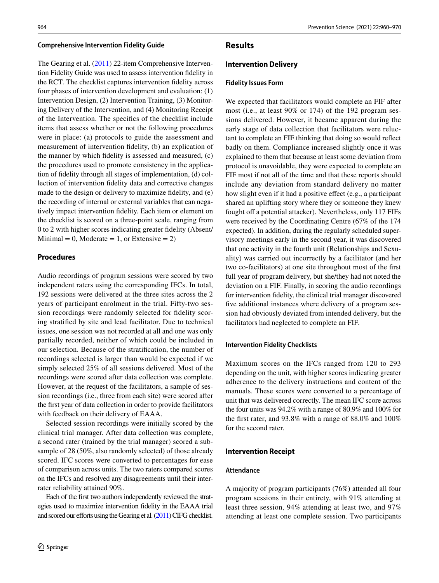#### **Comprehensive Intervention Fidelity Guide**

The Gearing et al. [\(2011](#page-11-0)) 22-item Comprehensive Intervention Fidelity Guide was used to assess intervention fdelity in the RCT. The checklist captures intervention fdelity across four phases of intervention development and evaluation: (1) Intervention Design, (2) Intervention Training, (3) Monitoring Delivery of the Intervention, and (4) Monitoring Receipt of the Intervention. The specifcs of the checklist include items that assess whether or not the following procedures were in place: (a) protocols to guide the assessment and measurement of intervention fdelity, (b) an explication of the manner by which fdelity is assessed and measured, (c) the procedures used to promote consistency in the application of fdelity through all stages of implementation, (d) collection of intervention fdelity data and corrective changes made to the design or delivery to maximize fdelity, and (e) the recording of internal or external variables that can negatively impact intervention fdelity. Each item or element on the checklist is scored on a three-point scale, ranging from 0 to 2 with higher scores indicating greater fdelity (Absent/  $Minimal = 0$ , Moderate = 1, or Extensive = 2)

## **Procedures**

Audio recordings of program sessions were scored by two independent raters using the corresponding IFCs. In total, 192 sessions were delivered at the three sites across the 2 years of participant enrolment in the trial. Fifty-two session recordings were randomly selected for fdelity scoring stratifed by site and lead facilitator. Due to technical issues, one session was not recorded at all and one was only partially recorded, neither of which could be included in our selection. Because of the stratifcation, the number of recordings selected is larger than would be expected if we simply selected 25% of all sessions delivered. Most of the recordings were scored after data collection was complete. However, at the request of the facilitators, a sample of session recordings (i.e., three from each site) were scored after the frst year of data collection in order to provide facilitators with feedback on their delivery of EAAA.

Selected session recordings were initially scored by the clinical trial manager. After data collection was complete, a second rater (trained by the trial manager) scored a subsample of 28 (50%, also randomly selected) of those already scored. IFC scores were converted to percentages for ease of comparison across units. The two raters compared scores on the IFCs and resolved any disagreements until their interrater reliability attained 90%.

Each of the frst two authors independently reviewed the strategies used to maximize intervention fdelity in the EAAA trial and scored our efforts using the Gearing et al. [\(2011\)](#page-11-0) CIFG checklist.

## **Results**

#### **Intervention Delivery**

#### **Fidelity Issues Form**

We expected that facilitators would complete an FIF after most (i.e., at least 90% or 174) of the 192 program sessions delivered. However, it became apparent during the early stage of data collection that facilitators were reluctant to complete an FIF thinking that doing so would refect badly on them. Compliance increased slightly once it was explained to them that because at least some deviation from protocol is unavoidable, they were expected to complete an FIF most if not all of the time and that these reports should include any deviation from standard delivery no matter how slight even if it had a positive effect (e.g., a participant shared an uplifting story where they or someone they knew fought off a potential attacker). Nevertheless, only 117 FIFs were received by the Coordinating Centre (67% of the 174 expected). In addition, during the regularly scheduled supervisory meetings early in the second year, it was discovered that one activity in the fourth unit (Relationships and Sexuality) was carried out incorrectly by a facilitator (and her two co-facilitators) at one site throughout most of the frst full year of program delivery, but she/they had not noted the deviation on a FIF. Finally, in scoring the audio recordings for intervention fdelity, the clinical trial manager discovered five additional instances where delivery of a program session had obviously deviated from intended delivery, but the facilitators had neglected to complete an FIF.

#### **Intervention Fidelity Checklists**

Maximum scores on the IFCs ranged from 120 to 293 depending on the unit, with higher scores indicating greater adherence to the delivery instructions and content of the manuals. These scores were converted to a percentage of unit that was delivered correctly. The mean IFC score across the four units was 94.2% with a range of 80.9% and 100% for the frst rater, and 93.8% with a range of 88.0% and 100% for the second rater.

#### **Intervention Receipt**

#### **Attendance**

A majority of program participants (76%) attended all four program sessions in their entirety, with 91% attending at least three session, 94% attending at least two, and 97% attending at least one complete session. Two participants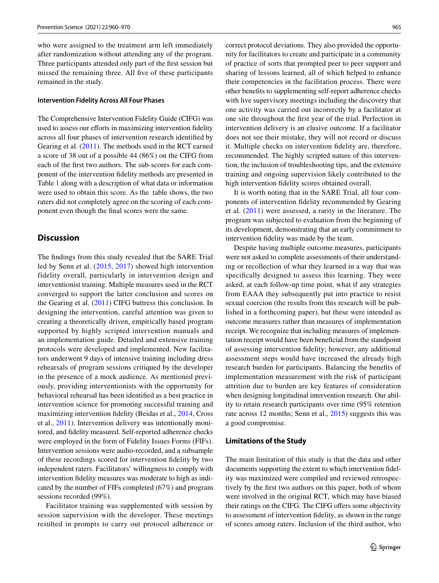who were assigned to the treatment arm left immediately after randomization without attending any of the program. Three participants attended only part of the frst session but missed the remaining three. All fve of these participants remained in the study.

#### **Intervention Fidelity Across All Four Phases**

The Comprehensive Intervention Fidelity Guide (CIFG) was used to assess our efforts in maximizing intervention fidelity across all four phases of intervention research identifed by Gearing et al. [\(2011\)](#page-11-0). The methods used in the RCT earned a score of 38 out of a possible 44 (86%) on the CIFG from each of the frst two authors. The sub-scores for each component of the intervention fdelity methods are presented in Table [1](#page-7-0) along with a description of what data or information were used to obtain this score. As the table shows, the two raters did not completely agree on the scoring of each component even though the fnal scores were the same.

## **Discussion**

The fndings from this study revealed that the SARE Trial led by Senn et al. [\(2015](#page-11-5), [2017](#page-11-6)) showed high intervention fidelity overall, particularly in intervention design and interventionist training. Multiple measures used in the RCT converged to support the latter conclusion and scores on the Gearing et al. ([2011\)](#page-11-0) CIFG buttress this conclusion. In designing the intervention, careful attention was given to creating a theoretically driven, empirically based program supported by highly scripted intervention manuals and an implementation guide. Detailed and extensive training protocols were developed and implemented. New facilitators underwent 9 days of intensive training including dress rehearsals of program sessions critiqued by the developer in the presence of a mock audience. As mentioned previously, providing interventionists with the opportunity for behavioral rehearsal has been identifed as a best practice in intervention science for promoting successful training and maximizing intervention fdelity (Beidas et al., [2014](#page-10-4), Cross et al., [2011](#page-10-5)). Intervention delivery was intentionally monitored, and fdelity measured. Self-reported adherence checks were employed in the form of Fidelity Issues Forms (FIFs). Intervention sessions were audio-recorded, and a subsample of these recordings scored for intervention fdelity by two independent raters. Facilitators' willingness to comply with intervention fdelity measures was moderate to high as indicated by the number of FIFs completed (67%) and program sessions recorded (99%).

Facilitator training was supplemented with session by session supervision with the developer. These meetings resulted in prompts to carry out protocol adherence or correct protocol deviations. They also provided the opportunity for facilitators to create and participate in a community of practice of sorts that prompted peer to peer support and sharing of lessons learned, all of which helped to enhance their competencies in the facilitation process. There were other benefts to supplementing self-report adherence checks with live supervisory meetings including the discovery that one activity was carried out incorrectly by a facilitator at one site throughout the frst year of the trial. Perfection in intervention delivery is an elusive outcome. If a facilitator does not see their mistake, they will not record or discuss it. Multiple checks on intervention fdelity are, therefore, recommended. The highly scripted nature of this intervention, the inclusion of troubleshooting tips, and the extensive training and ongoing supervision likely contributed to the high intervention fdelity scores obtained overall.

It is worth noting that in the SARE Trial, all four components of intervention fdelity recommended by Gearing et al. [\(2011](#page-11-0)) were assessed, a rarity in the literature. The program was subjected to evaluation from the beginning of its development, demonstrating that an early commitment to intervention fdelity was made by the team.

Despite having multiple outcome measures, participants were not asked to complete assessments of their understanding or recollection of what they learned in a way that was specifcally designed to assess this learning. They were asked, at each follow-up time point, what if any strategies from EAAA they subsequently put into practice to resist sexual coercion (the results from this research will be published in a forthcoming paper), but these were intended as outcome measures rather than measures of implementation receipt. We recognize that including measures of implementation receipt would have been benefcial from the standpoint of assessing intervention fdelity; however, any additional assessment steps would have increased the already high research burden for participants. Balancing the benefts of implementation measurement with the risk of participant attrition due to burden are key features of consideration when designing longitudinal intervention research. Our ability to retain research participants over time (95% retention rate across 12 months; Senn et al., [2015\)](#page-11-5) suggests this was a good compromise.

#### **Limitations of the Study**

The main limitation of this study is that the data and other documents supporting the extent to which intervention fdelity was maximized were compiled and reviewed retrospectively by the frst two authors on this paper, both of whom were involved in the original RCT, which may have biased their ratings on the CIFG. The CIFG offers some objectivity to assessment of intervention fdelity, as shown in the range of scores among raters. Inclusion of the third author, who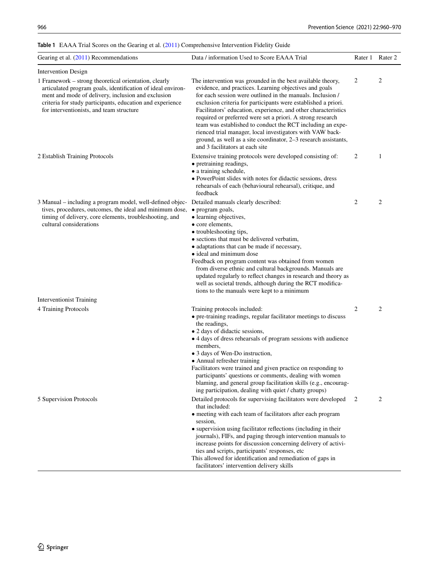## <span id="page-7-0"></span>**Table 1** EAAA Trial Scores on the Gearing et al. ([2011\)](#page-11-0) Comprehensive Intervention Fidelity Guide

| Gearing et al. $(2011)$ Recommendations                                                                                                                                                                                                                                             | Data / information Used to Score EAAA Trial                                                                                                                                                                                                                                                                                                                                                                                                                                                                                                                                                                            |                | Rater 1 Rater 2 |
|-------------------------------------------------------------------------------------------------------------------------------------------------------------------------------------------------------------------------------------------------------------------------------------|------------------------------------------------------------------------------------------------------------------------------------------------------------------------------------------------------------------------------------------------------------------------------------------------------------------------------------------------------------------------------------------------------------------------------------------------------------------------------------------------------------------------------------------------------------------------------------------------------------------------|----------------|-----------------|
| <b>Intervention Design</b>                                                                                                                                                                                                                                                          |                                                                                                                                                                                                                                                                                                                                                                                                                                                                                                                                                                                                                        |                |                 |
| 1 Framework - strong theoretical orientation, clearly<br>articulated program goals, identification of ideal environ-<br>ment and mode of delivery, inclusion and exclusion<br>criteria for study participants, education and experience<br>for interventionists, and team structure | The intervention was grounded in the best available theory,<br>evidence, and practices. Learning objectives and goals<br>for each session were outlined in the manuals. Inclusion /<br>exclusion criteria for participants were established a priori.<br>Facilitators' education, experience, and other characteristics<br>required or preferred were set a priori. A strong research<br>team was established to conduct the RCT including an expe-<br>rienced trial manager, local investigators with VAW back-<br>ground, as well as a site coordinator, 2–3 research assistants,<br>and 3 facilitators at each site | 2              | $\overline{2}$  |
| 2 Establish Training Protocols                                                                                                                                                                                                                                                      | Extensive training protocols were developed consisting of:<br>• pretraining readings,<br>• a training schedule,<br>• PowerPoint slides with notes for didactic sessions, dress<br>rehearsals of each (behavioural rehearsal), critique, and<br>feedback                                                                                                                                                                                                                                                                                                                                                                | 2              | $\mathbf{1}$    |
| 3 Manual – including a program model, well-defined objec- Detailed manuals clearly described:<br>tives, procedures, outcomes, the ideal and minimum dose,<br>timing of delivery, core elements, troubleshooting, and<br>cultural considerations                                     | • program goals,<br>• learning objectives,<br>• core elements,<br>• troubleshooting tips,<br>• sections that must be delivered verbatim,<br>• adaptations that can be made if necessary,<br>• ideal and minimum dose<br>Feedback on program content was obtained from women<br>from diverse ethnic and cultural backgrounds. Manuals are<br>updated regularly to reflect changes in research and theory as<br>well as societal trends, although during the RCT modifica-<br>tions to the manuals were kept to a minimum                                                                                                | 2              | 2               |
| <b>Interventionist Training</b>                                                                                                                                                                                                                                                     |                                                                                                                                                                                                                                                                                                                                                                                                                                                                                                                                                                                                                        |                |                 |
| 4 Training Protocols                                                                                                                                                                                                                                                                | Training protocols included:<br>• pre-training readings, regular facilitator meetings to discuss<br>the readings,<br>• 2 days of didactic sessions,<br>• 4 days of dress rehearsals of program sessions with audience<br>members,<br>• 3 days of Wen-Do instruction,<br>• Annual refresher training<br>Facilitators were trained and given practice on responding to<br>participants' questions or comments, dealing with women<br>blaming, and general group facilitation skills (e.g., encourag-<br>ing participation, dealing with quiet / chatty groups)                                                           | $\overline{2}$ | $\overline{2}$  |
| 5 Supervision Protocols                                                                                                                                                                                                                                                             | Detailed protocols for supervising facilitators were developed<br>that included:<br>• meeting with each team of facilitators after each program<br>session,<br>• supervision using facilitator reflections (including in their<br>journals), FIFs, and paging through intervention manuals to<br>increase points for discussion concerning delivery of activi-<br>ties and scripts, participants' responses, etc<br>This allowed for identification and remediation of gaps in<br>facilitators' intervention delivery skills                                                                                           | 2              | 2               |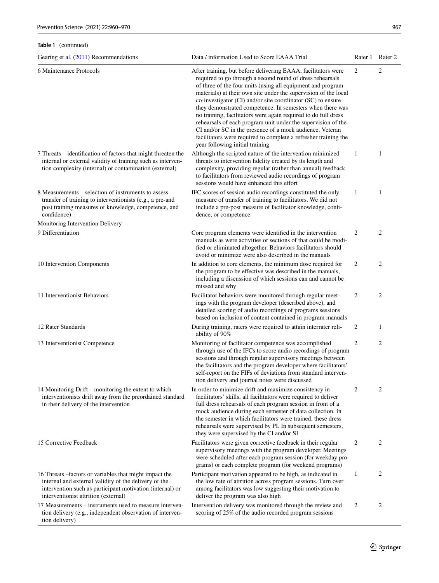## **Table 1** (continued)

| Gearing et al. $(2011)$ Recommendations                                                                                                                                                                              | Data / information Used to Score EAAA Trial                                                                                                                                                                                                                                                                                                                                                                                                                                                                                                                                                                                                                                                  |                | Rater 1 Rater 2 |
|----------------------------------------------------------------------------------------------------------------------------------------------------------------------------------------------------------------------|----------------------------------------------------------------------------------------------------------------------------------------------------------------------------------------------------------------------------------------------------------------------------------------------------------------------------------------------------------------------------------------------------------------------------------------------------------------------------------------------------------------------------------------------------------------------------------------------------------------------------------------------------------------------------------------------|----------------|-----------------|
| 6 Maintenance Protocols                                                                                                                                                                                              | After training, but before delivering EAAA, facilitators were<br>required to go through a second round of dress rehearsals<br>of three of the four units (using all equipment and program<br>materials) at their own site under the supervision of the local<br>co-investigator (CI) and/or site coordinator (SC) to ensure<br>they demonstrated competence. In semesters when there was<br>no training, facilitators were again required to do full dress<br>rehearsals of each program unit under the supervision of the<br>CI and/or SC in the presence of a mock audience. Veteran<br>facilitators were required to complete a refresher training the<br>year following initial training | 2              | 2               |
| 7 Threats – identification of factors that might threaten the<br>internal or external validity of training such as interven-<br>tion complexity (internal) or contamination (external)                               | Although the scripted nature of the intervention minimized<br>threats to intervention fidelity created by its length and<br>complexity, providing regular (rather than annual) feedback<br>to facilitators from reviewed audio recordings of program<br>sessions would have enhanced this effort                                                                                                                                                                                                                                                                                                                                                                                             | 1              | 1               |
| 8 Measurements – selection of instruments to assess<br>transfer of training to interventionists (e.g., a pre-and<br>post training measures of knowledge, competence, and<br>confidence)                              | IFC scores of session audio recordings constituted the only<br>measure of transfer of training to facilitators. We did not<br>include a pre-post measure of facilitator knowledge, confi-<br>dence, or competence                                                                                                                                                                                                                                                                                                                                                                                                                                                                            | $\mathbf{1}$   | 1               |
| Monitoring Intervention Delivery                                                                                                                                                                                     |                                                                                                                                                                                                                                                                                                                                                                                                                                                                                                                                                                                                                                                                                              |                |                 |
| 9 Differentiation                                                                                                                                                                                                    | Core program elements were identified in the intervention<br>manuals as were activities or sections of that could be modi-<br>fied or eliminated altogether. Behaviors facilitators should<br>avoid or minimize were also described in the manuals                                                                                                                                                                                                                                                                                                                                                                                                                                           | 2              | 2               |
| 10 Intervention Components                                                                                                                                                                                           | In addition to core elements, the minimum dose required for<br>the program to be effective was described in the manuals,<br>including a discussion of which sessions can and cannot be<br>missed and why                                                                                                                                                                                                                                                                                                                                                                                                                                                                                     | 2              | 2               |
| 11 Interventionist Behaviors                                                                                                                                                                                         | Facilitator behaviors were monitored through regular meet-<br>ings with the program developer (described above), and<br>detailed scoring of audio recordings of programs sessions<br>based on inclusion of content contained in program manuals                                                                                                                                                                                                                                                                                                                                                                                                                                              | 2              | 2               |
| 12 Rater Standards                                                                                                                                                                                                   | During training, raters were required to attain interrater reli-<br>ability of 90%                                                                                                                                                                                                                                                                                                                                                                                                                                                                                                                                                                                                           | 2              | $\mathbf{1}$    |
| 13 Interventionist Competence                                                                                                                                                                                        | Monitoring of facilitator competence was accomplished<br>through use of the IFCs to score audio recordings of program<br>sessions and through regular supervisory meetings between<br>the facilitators and the program developer where facilitators'<br>self-report on the FIFs of deviations from standard interven-<br>tion delivery and journal notes were discussed                                                                                                                                                                                                                                                                                                                      | 2              | 2               |
| 14 Monitoring Drift - monitoring the extent to which<br>interventionists drift away from the preordained standard<br>in their delivery of the intervention                                                           | In order to minimize drift and maximize consistency in<br>facilitators' skills, all facilitators were required to deliver<br>full dress rehearsals of each program session in front of a<br>mock audience during each semester of data collection. In<br>the semester in which facilitators were trained, these dress<br>rehearsals were supervised by PI. In subsequent semesters,<br>they were supervised by the CI and/or SI                                                                                                                                                                                                                                                              | $\overline{c}$ | 2               |
| 15 Corrective Feedback                                                                                                                                                                                               | Facilitators were given corrective feedback in their regular<br>supervisory meetings with the program developer. Meetings<br>were scheduled after each program session (for weekday pro-<br>grams) or each complete program (for weekend programs)                                                                                                                                                                                                                                                                                                                                                                                                                                           | 2              | 2               |
| 16 Threats -factors or variables that might impact the<br>internal and external validity of the delivery of the<br>intervention such as participant motivation (internal) or<br>interventionist attrition (external) | Participant motivation appeared to be high, as indicated in<br>the low rate of attrition across program sessions. Turn over<br>among facilitators was low suggesting their motivation to<br>deliver the program was also high                                                                                                                                                                                                                                                                                                                                                                                                                                                                | 1              | 2               |
| 17 Measurements – instruments used to measure interven-<br>tion delivery (e.g., independent observation of interven-<br>tion delivery)                                                                               | Intervention delivery was monitored through the review and<br>scoring of 25% of the audio recorded program sessions                                                                                                                                                                                                                                                                                                                                                                                                                                                                                                                                                                          | 2              | 2               |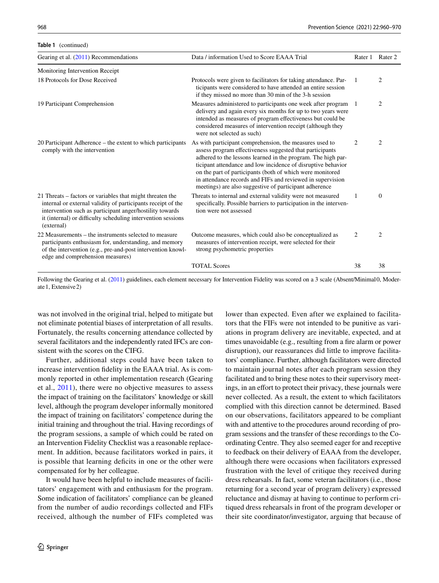**Table 1** (continued)

| Gearing et al. $(2011)$ Recommendations                                                                                                                                                                                                                             | Data / information Used to Score EAAA Trial                                                                                                                                                                                                                                                                                                                                                                                              | Rater 1 | Rater 2        |
|---------------------------------------------------------------------------------------------------------------------------------------------------------------------------------------------------------------------------------------------------------------------|------------------------------------------------------------------------------------------------------------------------------------------------------------------------------------------------------------------------------------------------------------------------------------------------------------------------------------------------------------------------------------------------------------------------------------------|---------|----------------|
| Monitoring Intervention Receipt                                                                                                                                                                                                                                     |                                                                                                                                                                                                                                                                                                                                                                                                                                          |         |                |
| 18 Protocols for Dose Received                                                                                                                                                                                                                                      | Protocols were given to facilitators for taking attendance. Par-<br>ticipants were considered to have attended an entire session<br>if they missed no more than 30 min of the 3-h session                                                                                                                                                                                                                                                | 1       | 2              |
| 19 Participant Comprehension                                                                                                                                                                                                                                        | Measures administered to participants one week after program<br>delivery and again every six months for up to two years were<br>intended as measures of program effectiveness but could be<br>considered measures of intervention receipt (although they<br>were not selected as such)                                                                                                                                                   | -1      | 2              |
| 20 Participant Adherence – the extent to which participants<br>comply with the intervention                                                                                                                                                                         | As with participant comprehension, the measures used to<br>assess program effectiveness suggested that participants<br>adhered to the lessons learned in the program. The high par-<br>ticipant attendance and low incidence of disruptive behavior<br>on the part of participants (both of which were monitored<br>in attendance records and FIFs and reviewed in supervision<br>meetings) are also suggestive of participant adherence | 2       | $\overline{c}$ |
| 21 Threats – factors or variables that might threaten the<br>internal or external validity of participants receipt of the<br>intervention such as participant anger/hostility towards<br>it (internal) or difficulty scheduling intervention sessions<br>(external) | Threats to internal and external validity were not measured<br>specifically. Possible barriers to participation in the interven-<br>tion were not assessed                                                                                                                                                                                                                                                                               | 1       | $\overline{0}$ |
| 22 Measurements – the instruments selected to measure<br>participants enthusiasm for, understanding, and memory<br>of the intervention (e.g., pre-and-post intervention knowl-<br>edge and comprehension measures)                                                  | Outcome measures, which could also be conceptualized as<br>measures of intervention receipt, were selected for their<br>strong psychometric properties                                                                                                                                                                                                                                                                                   | 2       | $\overline{c}$ |
|                                                                                                                                                                                                                                                                     | <b>TOTAL Scores</b>                                                                                                                                                                                                                                                                                                                                                                                                                      | 38      | 38             |

Following the Gearing et al. ([2011](#page-11-0)) guidelines, each element necessary for Intervention Fidelity was scored on a 3 scale (Absent/Minimal0, Moderate1, Extensive2)

was not involved in the original trial, helped to mitigate but not eliminate potential biases of interpretation of all results. Fortunately, the results concerning attendance collected by several facilitators and the independently rated IFCs are consistent with the scores on the CIFG.

Further, additional steps could have been taken to increase intervention fdelity in the EAAA trial. As is commonly reported in other implementation research (Gearing et al., [2011\)](#page-11-0), there were no objective measures to assess the impact of training on the facilitators' knowledge or skill level, although the program developer informally monitored the impact of training on facilitators' competence during the initial training and throughout the trial. Having recordings of the program sessions, a sample of which could be rated on an Intervention Fidelity Checklist was a reasonable replacement. In addition, because facilitators worked in pairs, it is possible that learning deficits in one or the other were compensated for by her colleague.

It would have been helpful to include measures of facilitators' engagement with and enthusiasm for the program. Some indication of facilitators' compliance can be gleaned from the number of audio recordings collected and FIFs received, although the number of FIFs completed was lower than expected. Even after we explained to facilitators that the FIFs were not intended to be punitive as variations in program delivery are inevitable, expected, and at times unavoidable (e.g., resulting from a fre alarm or power disruption), our reassurances did little to improve facilitators' compliance. Further, although facilitators were directed to maintain journal notes after each program session they facilitated and to bring these notes to their supervisory meetings, in an effort to protect their privacy, these journals were never collected. As a result, the extent to which facilitators complied with this direction cannot be determined. Based on our observations, facilitators appeared to be compliant with and attentive to the procedures around recording of program sessions and the transfer of these recordings to the Coordinating Centre. They also seemed eager for and receptive to feedback on their delivery of EAAA from the developer, although there were occasions when facilitators expressed frustration with the level of critique they received during dress rehearsals. In fact, some veteran facilitators (i.e., those returning for a second year of program delivery) expressed reluctance and dismay at having to continue to perform critiqued dress rehearsals in front of the program developer or their site coordinator/investigator, arguing that because of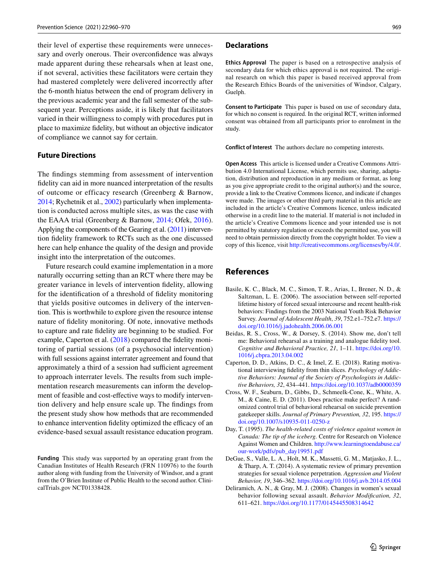their level of expertise these requirements were unnecessary and overly onerous. Their overconfdence was always made apparent during these rehearsals when at least one, if not several, activities these facilitators were certain they had mastered completely were delivered incorrectly after the 6-month hiatus between the end of program delivery in the previous academic year and the fall semester of the subsequent year. Perceptions aside, it is likely that facilitators varied in their willingness to comply with procedures put in place to maximize fdelity, but without an objective indicator of compliance we cannot say for certain.

#### **Future Directions**

The fndings stemming from assessment of intervention fdelity can aid in more nuanced interpretation of the results of outcome or efficacy research (Greenberg & Barnow, [2014;](#page-11-11) Rychetnik et al., [2002\)](#page-11-12) particularly when implementation is conducted across multiple sites, as was the case with the EAAA trial (Greenberg & Barnow, [2014](#page-11-11); Ofek, [2016](#page-11-13)). Applying the components of the Gearing et al. [\(2011\)](#page-11-0) intervention fdelity framework to RCTs such as the one discussed here can help enhance the quality of the design and provide insight into the interpretation of the outcomes.

Future research could examine implementation in a more naturally occurring setting than an RCT where there may be greater variance in levels of intervention fdelity, allowing for the identifcation of a threshold of fdelity monitoring that yields positive outcomes in delivery of the intervention. This is worthwhile to explore given the resource intense nature of fdelity monitoring. Of note, innovative methods to capture and rate fdelity are beginning to be studied. For example, Caperton et al. [\(2018](#page-10-6)) compared the fidelity monitoring of partial sessions (of a psychosocial intervention) with full sessions against interrater agreement and found that approximately a third of a session had sufficient agreement to approach interrater levels. The results from such implementation research measurements can inform the development of feasible and cost-efective ways to modify intervention delivery and help ensure scale up. The fndings from the present study show how methods that are recommended to enhance intervention fidelity optimized the efficacy of an evidence-based sexual assault resistance education program.

**Funding** This study was supported by an operating grant from the Canadian Institutes of Health Research (FRN 110976) to the fourth author along with funding from the University of Windsor, and a grant from the O'Brien Institute of Public Health to the second author. ClinicalTrials.gov NCT01338428.

#### **Declarations**

**Ethics Approval** The paper is based on a retrospective analysis of secondary data for which ethics approval is not required. The original research on which this paper is based received approval from the Research Ethics Boards of the universities of Windsor, Calgary, Guelph.

**Consent to Participate** This paper is based on use of secondary data, for which no consent is required. In the original RCT, written informed consent was obtained from all participants prior to enrolment in the study.

**Conflict of Interest** The authors declare no competing interests.

**Open Access** This article is licensed under a Creative Commons Attribution 4.0 International License, which permits use, sharing, adaptation, distribution and reproduction in any medium or format, as long as you give appropriate credit to the original author(s) and the source, provide a link to the Creative Commons licence, and indicate if changes were made. The images or other third party material in this article are included in the article's Creative Commons licence, unless indicated otherwise in a credit line to the material. If material is not included in the article's Creative Commons licence and your intended use is not permitted by statutory regulation or exceeds the permitted use, you will need to obtain permission directly from the copyright holder. To view a copy of this licence, visit<http://creativecommons.org/licenses/by/4.0/>.

## **References**

- <span id="page-10-1"></span>Basile, K. C., Black, M. C., Simon, T. R., Arias, I., Brener, N. D., & Saltzman, L. E. (2006). The association between self-reported lifetime history of forced sexual intercourse and recent health-risk behaviors: Findings from the 2003 National Youth Risk Behavior Survey. *Journal of Adolescent Health*, *39*, 752.e1–752.e7. [https://](https://doi.org/10.1016/j.jadohealth.2006.06.001) [doi.org/10.1016/j.jadohealth.2006.06.001](https://doi.org/10.1016/j.jadohealth.2006.06.001)
- <span id="page-10-4"></span>Beidas, R. S., Cross, W., & Dorsey, S. (2014). Show me, don't tell me: Behavioral rehearsal as a training and analogue fdelity tool. *Cognitive and Behavioral Practice, 21*, 1–11. [https://doi.org/10.](https://doi.org/10.1016/j.cbpra.2013.04.002) [1016/j.cbpra.2013.04.002](https://doi.org/10.1016/j.cbpra.2013.04.002)
- <span id="page-10-6"></span>Caperton, D. D., Atkins, D. C., & Imel, Z. E. (2018). Rating motivational interviewing fdelity from thin slices. *Psychology of Addictive Behaviors: Journal of the Society of Psychologists in Addictive Behaviors, 32*, 434–441.<https://doi.org/10.1037/adb0000359>
- <span id="page-10-5"></span>Cross, W. F., Seaburn, D., Gibbs, D., Schmeelk-Cone, K., White, A. M., & Caine, E. D. (2011). Does practice make perfect? A randomized control trial of behavioral rehearsal on suicide prevention gatekeeper skills. *Journal of Primary Prevention, 32*, 195. [https://](https://doi.org/10.1007/s10935-011-0250-z) [doi.org/10.1007/s10935-011-0250-z](https://doi.org/10.1007/s10935-011-0250-z)
- <span id="page-10-2"></span>Day, T. (1995). *The health-related costs of violence against women in Canada: The tip of the iceberg.* Centre for Research on Violence Against Women and Children. [http://www.learningtoendabuse.ca/](http://www.learningtoendabuse.ca/our-work/pdfs/pub_day19951.pdf) [our-work/pdfs/pub\\_day19951.pdf](http://www.learningtoendabuse.ca/our-work/pdfs/pub_day19951.pdf)
- <span id="page-10-0"></span>DeGue, S., Valle, L. A., Holt, M. K., Massetti, G. M., Matjasko, J. L., & Tharp, A. T. (2014). A systematic review of primary prevention strategies for sexual violence perpetration. *Aggression and Violent Behavior, 19*, 346–362.<https://doi.org/10.1016/j.avb.2014.05.004>
- <span id="page-10-3"></span>Deliramich, A. N., & Gray, M. J. (2008). Changes in women's sexual behavior following sexual assault. *Behavior Modifcation, 32*, 611–621.<https://doi.org/10.1177/0145445508314642>